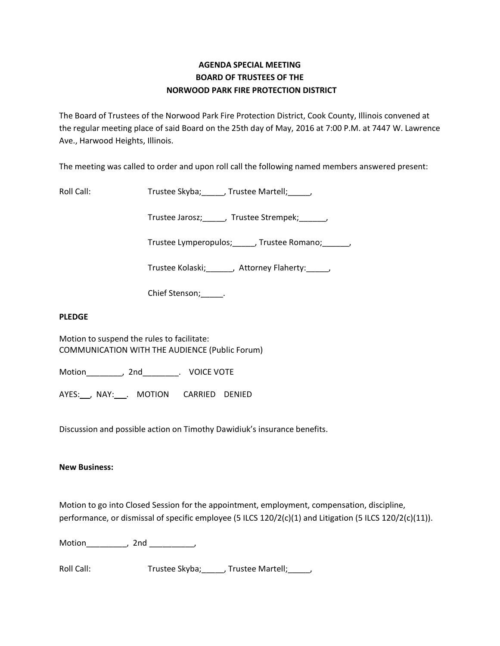## **AGENDA SPECIAL MEETING BOARD OF TRUSTEES OF THE NORWOOD PARK FIRE PROTECTION DISTRICT**

The Board of Trustees of the Norwood Park Fire Protection District, Cook County, Illinois convened at the regular meeting place of said Board on the 25th day of May, 2016 at 7:00 P.M. at 7447 W. Lawrence Ave., Harwood Heights, Illinois.

The meeting was called to order and upon roll call the following named members answered present:

Roll Call: Trustee Skyba; \_\_\_\_, Trustee Martell; \_\_\_\_,

Trustee Jarosz;\_\_\_\_\_, Trustee Strempek;\_\_\_\_\_\_,

Trustee Lymperopulos;\_\_\_\_\_, Trustee Romano;\_\_\_\_\_\_,

Trustee Kolaski;\_\_\_\_\_\_, Attorney Flaherty:\_\_\_\_\_,

Chief Stenson; \_\_\_\_\_.

## **PLEDGE**

Motion to suspend the rules to facilitate: COMMUNICATION WITH THE AUDIENCE (Public Forum)

Motion\_\_\_\_\_\_\_\_, 2nd\_\_\_\_\_\_\_\_. VOICE VOTE

AYES: NAY: . MOTION CARRIED DENIED

Discussion and possible action on Timothy Dawidiuk's insurance benefits.

## **New Business:**

Motion to go into Closed Session for the appointment, employment, compensation, discipline, performance, or dismissal of specific employee (5 ILCS 120/2(c)(1) and Litigation (5 ILCS 120/2(c)(11)).

Motion\_\_\_\_\_\_\_\_\_, 2nd \_\_\_\_\_\_\_\_\_\_,

Roll Call: Trustee Skyba; \_\_\_\_, Trustee Martell; \_\_\_\_,